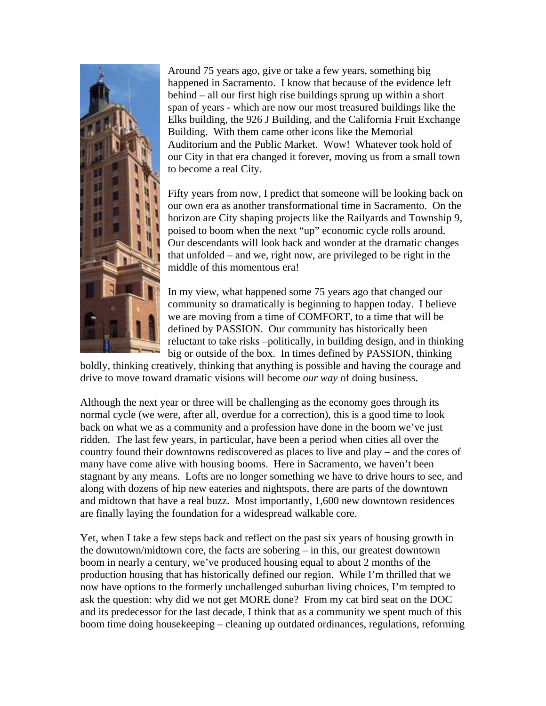

Around 75 years ago, give or take a few years, something big happened in Sacramento. I know that because of the evidence left behind – all our first high rise buildings sprung up within a short span of years - which are now our most treasured buildings like the Elks building, the 926 J Building, and the California Fruit Exchange Building. With them came other icons like the Memorial Auditorium and the Public Market. Wow! Whatever took hold of our City in that era changed it forever, moving us from a small town to become a real City.

Fifty years from now, I predict that someone will be looking back on our own era as another transformational time in Sacramento. On the horizon are City shaping projects like the Railyards and Township 9, poised to boom when the next "up" economic cycle rolls around. Our descendants will look back and wonder at the dramatic changes that unfolded – and we, right now, are privileged to be right in the middle of this momentous era!

In my view, what happened some 75 years ago that changed our community so dramatically is beginning to happen today. I believe we are moving from a time of COMFORT, to a time that will be defined by PASSION. Our community has historically been reluctant to take risks –politically, in building design, and in thinking big or outside of the box. In times defined by PASSION, thinking

boldly, thinking creatively, thinking that anything is possible and having the courage and drive to move toward dramatic visions will become *our way* of doing business.

Although the next year or three will be challenging as the economy goes through its normal cycle (we were, after all, overdue for a correction), this is a good time to look back on what we as a community and a profession have done in the boom we've just ridden. The last few years, in particular, have been a period when cities all over the country found their downtowns rediscovered as places to live and play – and the cores of many have come alive with housing booms. Here in Sacramento, we haven't been stagnant by any means. Lofts are no longer something we have to drive hours to see, and along with dozens of hip new eateries and nightspots, there are parts of the downtown and midtown that have a real buzz. Most importantly, 1,600 new downtown residences are finally laying the foundation for a widespread walkable core.

Yet, when I take a few steps back and reflect on the past six years of housing growth in the downtown/midtown core, the facts are sobering – in this, our greatest downtown boom in nearly a century, we've produced housing equal to about 2 months of the production housing that has historically defined our region. While I'm thrilled that we now have options to the formerly unchallenged suburban living choices, I'm tempted to ask the question: why did we not get MORE done? From my cat bird seat on the DOC and its predecessor for the last decade, I think that as a community we spent much of this boom time doing housekeeping – cleaning up outdated ordinances, regulations, reforming